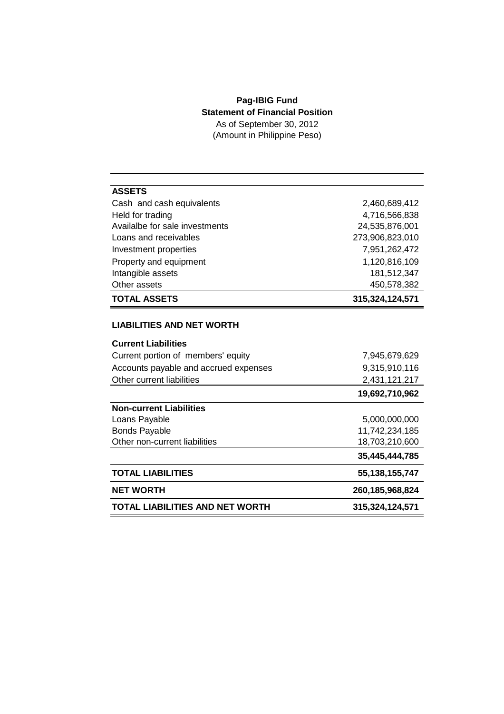## **Pag-IBIG Fund Statement of Financial Position** As of September 30, 2012

(Amount in Philippine Peso)

| <b>ASSETS</b>                         |                    |
|---------------------------------------|--------------------|
| Cash and cash equivalents             | 2,460,689,412      |
| Held for trading                      | 4,716,566,838      |
| Availalbe for sale investments        | 24,535,876,001     |
| Loans and receivables                 | 273,906,823,010    |
| Investment properties                 | 7,951,262,472      |
| Property and equipment                | 1,120,816,109      |
| Intangible assets                     | 181,512,347        |
| Other assets                          | 450,578,382        |
| <b>TOTAL ASSETS</b>                   | 315,324,124,571    |
|                                       |                    |
| <b>LIABILITIES AND NET WORTH</b>      |                    |
| <b>Current Liabilities</b>            |                    |
| Current portion of members' equity    | 7,945,679,629      |
| Accounts payable and accrued expenses | 9,315,910,116      |
| Other current liabilities             | 2,431,121,217      |
|                                       | 19,692,710,962     |
| <b>Non-current Liabilities</b>        |                    |
| Loans Payable                         | 5,000,000,000      |
| <b>Bonds Payable</b>                  | 11,742,234,185     |
| Other non-current liabilities         | 18,703,210,600     |
|                                       | 35,445,444,785     |
| <b>TOTAL LIABILITIES</b>              | 55, 138, 155, 747  |
| <b>NET WORTH</b>                      | 260, 185, 968, 824 |
| TOTAL LIABILITIES AND NET WORTH       | 315,324,124,571    |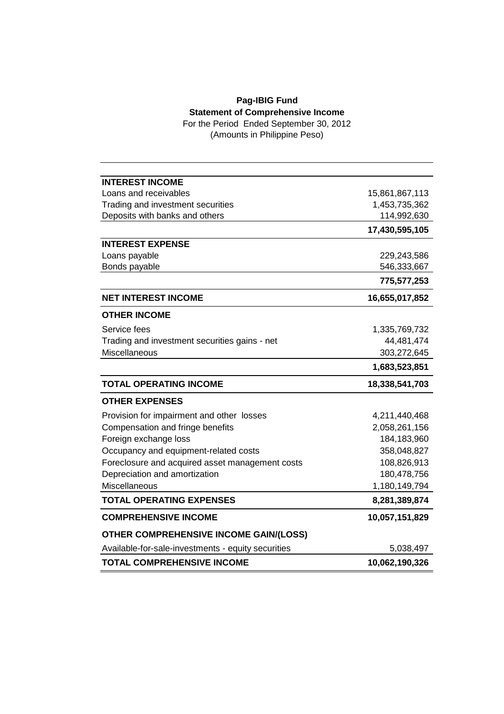## **Pag-IBIG Fund Statement of Comprehensive Income**

For the Period Ended September 30, 2012 (Amounts in Philippine Peso)

| <b>INTEREST INCOME</b>                             |                |
|----------------------------------------------------|----------------|
| Loans and receivables                              | 15,861,867,113 |
| Trading and investment securities                  | 1,453,735,362  |
| Deposits with banks and others                     | 114,992,630    |
|                                                    | 17,430,595,105 |
| <b>INTEREST EXPENSE</b>                            |                |
| Loans payable                                      | 229,243,586    |
| Bonds payable                                      | 546,333,667    |
|                                                    | 775,577,253    |
| <b>NET INTEREST INCOME</b>                         | 16,655,017,852 |
| <b>OTHER INCOME</b>                                |                |
| Service fees                                       | 1,335,769,732  |
| Trading and investment securities gains - net      | 44,481,474     |
| Miscellaneous                                      | 303,272,645    |
|                                                    | 1,683,523,851  |
| <b>TOTAL OPERATING INCOME</b>                      | 18,338,541,703 |
| <b>OTHER EXPENSES</b>                              |                |
| Provision for impairment and other losses          | 4,211,440,468  |
| Compensation and fringe benefits                   | 2,058,261,156  |
| Foreign exchange loss                              | 184,183,960    |
| Occupancy and equipment-related costs              | 358,048,827    |
| Foreclosure and acquired asset management costs    | 108,826,913    |
| Depreciation and amortization                      | 180,478,756    |
| <b>Miscellaneous</b>                               | 1,180,149,794  |
| <b>TOTAL OPERATING EXPENSES</b>                    | 8,281,389,874  |
| <b>COMPREHENSIVE INCOME</b>                        | 10,057,151,829 |
| <b>OTHER COMPREHENSIVE INCOME GAIN/(LOSS)</b>      |                |
| Available-for-sale-investments - equity securities | 5,038,497      |
| <b>TOTAL COMPREHENSIVE INCOME</b>                  | 10,062,190,326 |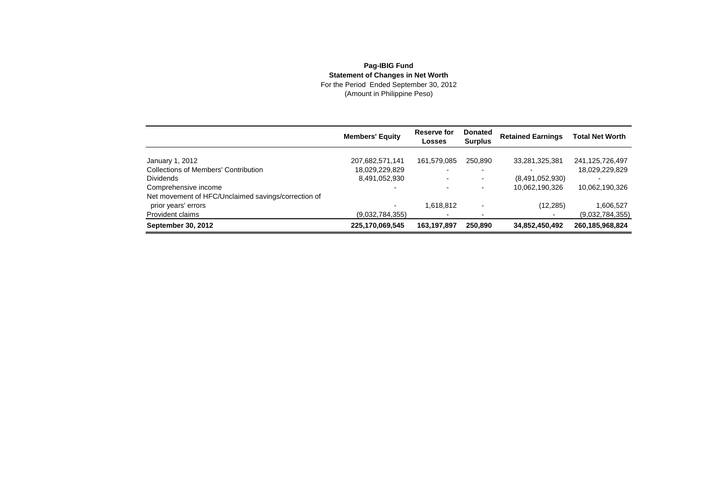## **Pag-IBIG FundStatement of Changes in Net Worth**<br>For the Period Ended September 30, 2012<br>(Amount in Philippine Peso)

|                                                     | <b>Members' Equity</b> | Reserve for<br><b>Losses</b> | <b>Donated</b><br><b>Surplus</b> | <b>Retained Earnings</b> | <b>Total Net Worth</b> |
|-----------------------------------------------------|------------------------|------------------------------|----------------------------------|--------------------------|------------------------|
| January 1, 2012                                     | 207,682,571,141        | 161,579,085                  | 250.890                          | 33,281,325,381           | 241,125,726,497        |
| <b>Collections of Members' Contribution</b>         | 18,029,229,829         |                              |                                  |                          | 18,029,229,829         |
| <b>Dividends</b>                                    | 8,491,052,930          | $\overline{\phantom{0}}$     | $\blacksquare$                   | (8,491,052,930)          |                        |
| Comprehensive income                                |                        |                              |                                  | 10,062,190,326           | 10,062,190,326         |
| Net movement of HFC/Unclaimed savings/correction of |                        |                              |                                  |                          |                        |
| prior years' errors                                 |                        | 1.618.812                    |                                  | (12, 285)                | 1,606,527              |
| Provident claims                                    | (9,032,784,355)        |                              |                                  |                          | (9,032,784,355)        |
| <b>September 30, 2012</b>                           | 225,170,069,545        | 163.197.897                  | 250.890                          | 34,852,450,492           | 260, 185, 968, 824     |